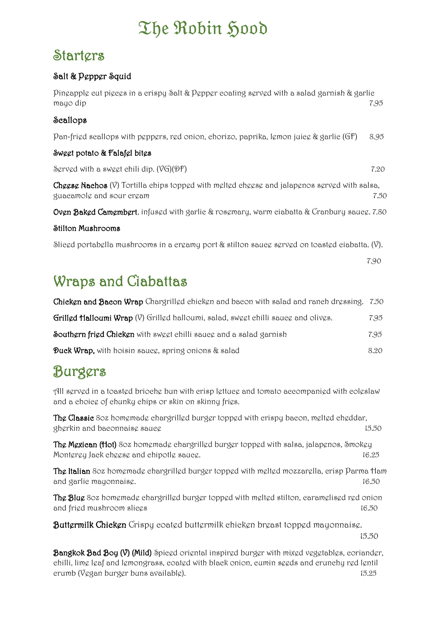# The Robin Hood

#### **Startgrs**

#### Salt & Pepper Squid

| Pingapplg cut pigegs in a crispy Salt & Pgppgr coating sgrvgd with a salad garnish & garlic<br>mayo dip                 | 7.95 |
|-------------------------------------------------------------------------------------------------------------------------|------|
| Scallops                                                                                                                |      |
| Pan-frigd seallops with peppers, red onion, chorizo, paprika, lemon juice & garlic (GF)                                 | 8.95 |
| Sweet potato & Falafel bites                                                                                            |      |
| Served with a sweet chili dip. $(VG)(\mathbb{P}F)$                                                                      | 7.20 |
| Cheese Nachos (V) Tortilla chips topped with melted cheese and jalapenos served with salsa,<br>guaeamolg and sour ergam | 7.50 |
| <b>Oven Baked Camembert</b> , infused with garlie & rosemary, warm ciabatta & Cranbury sauce. 7.80                      |      |
| Stilton Mushrooms                                                                                                       |      |
| Sliegd portabglla mushrooms in a ergamy port & stilton saueg sgrvgd on toastgd eiabatta. (V).                           |      |
|                                                                                                                         | 7.90 |

### Wraps and Ciabattas

| <b>Chicken and Bacon Wrap</b> Chargrilled chicken and bacon with salad and ranch dressing. 7.50 |      |
|-------------------------------------------------------------------------------------------------|------|
| Grillgd Halloumi Wrap $(\mathcal{V})$ Grillgd halloumi, salad, swegt chilli saueg and olivgs.   | 7.95 |
| Southern fried Chicken with sweet chilli sauce and a salad garnish                              | 7.95 |
| <b>Duck Wrap,</b> with hoisin saueg, spring onions & salad                                      | 8.20 |

#### Burgers

All served in a toasted brioche bun with crisp lettuce and tomato accompanied with coleslaw and a choice of chunky chips or skin on skinny fries.

The Classic 80z homemade chargrilled burger topped with crispy bacon, melted cheddar, gherkin and baconnaise sauce 15.50

The Mexican (Hot) 80z homemade chargrilled burger topped with salsa, jalapenos, Smokey Monterey Jack cheese and chipotle sauce. 16.25

The Italian 8oz homemade chargrilled burger topped with melted mozzarella, crisp Parma Ham and garlic mayonnaise. 16.50

The Blue 80z homemade chargrilled burger topped with melted stilton, caramelised red onion and fried mushroom slices 16.50

Buttermilk Chicken Crispy coated buttermilk chicken breast topped mayonnaise.

```
 15.50
```
Bangkok Bad Boy (V) (Mild) Spiegd oriental inspired burger with mixed vegetables, coriander, chilli, lime leaf and lemongrass, coated with black onion, cumin seeds and crunchy red lentil crumb (Vegan burger buns available). 15.25